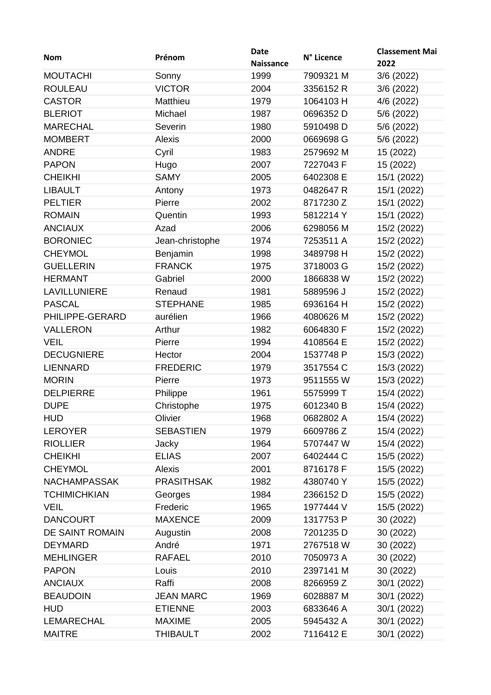| <b>Nom</b>          | Prénom            | <b>Date</b><br><b>Naissance</b> | N° Licence | <b>Classement Mai</b><br>2022 |
|---------------------|-------------------|---------------------------------|------------|-------------------------------|
| <b>MOUTACHI</b>     | Sonny             | 1999                            | 7909321 M  | 3/6 (2022)                    |
| <b>ROULEAU</b>      | <b>VICTOR</b>     | 2004                            | 3356152 R  | 3/6(2022)                     |
| <b>CASTOR</b>       | Matthieu          | 1979                            | 1064103 H  | 4/6 (2022)                    |
| <b>BLERIOT</b>      | Michael           | 1987                            | 0696352 D  | 5/6 (2022)                    |
| <b>MARECHAL</b>     | Severin           | 1980                            | 5910498 D  | 5/6 (2022)                    |
| <b>MOMBERT</b>      | Alexis            | 2000                            | 0669698 G  | 5/6 (2022)                    |
| <b>ANDRE</b>        | Cyril             | 1983                            | 2579692 M  | 15 (2022)                     |
| <b>PAPON</b>        | Hugo              | 2007                            | 7227043 F  | 15 (2022)                     |
| <b>CHEIKHI</b>      | <b>SAMY</b>       | 2005                            | 6402308 E  | 15/1 (2022)                   |
| <b>LIBAULT</b>      | Antony            | 1973                            | 0482647 R  | 15/1 (2022)                   |
| <b>PELTIER</b>      | Pierre            | 2002                            | 8717230 Z  | 15/1 (2022)                   |
| <b>ROMAIN</b>       | Quentin           | 1993                            | 5812214 Y  | 15/1 (2022)                   |
| <b>ANCIAUX</b>      | Azad              | 2006                            | 6298056 M  | 15/2 (2022)                   |
| <b>BORONIEC</b>     | Jean-christophe   | 1974                            | 7253511 A  | 15/2 (2022)                   |
| <b>CHEYMOL</b>      | Benjamin          | 1998                            | 3489798 H  | 15/2 (2022)                   |
| <b>GUELLERIN</b>    | <b>FRANCK</b>     | 1975                            | 3718003 G  | 15/2 (2022)                   |
| <b>HERMANT</b>      | Gabriel           | 2000                            | 1866838 W  | 15/2 (2022)                   |
| LAVILLUNIERE        | Renaud            | 1981                            | 5889596 J  | 15/2 (2022)                   |
| <b>PASCAL</b>       | <b>STEPHANE</b>   | 1985                            | 6936164 H  | 15/2 (2022)                   |
| PHILIPPE-GERARD     | aurélien          | 1966                            | 4080626 M  | 15/2 (2022)                   |
| <b>VALLERON</b>     | Arthur            | 1982                            | 6064830 F  | 15/2 (2022)                   |
| <b>VEIL</b>         | Pierre            | 1994                            | 4108564 E  | 15/2 (2022)                   |
| <b>DECUGNIERE</b>   | Hector            | 2004                            | 1537748 P  | 15/3 (2022)                   |
| <b>LIENNARD</b>     | <b>FREDERIC</b>   | 1979                            | 3517554 C  | 15/3 (2022)                   |
| <b>MORIN</b>        | Pierre            | 1973                            | 9511555 W  | 15/3 (2022)                   |
| <b>DELPIERRE</b>    | Philippe          | 1961                            | 5575999 T  | 15/4 (2022)                   |
| <b>DUPE</b>         | Christophe        | 1975                            | 6012340 B  | 15/4 (2022)                   |
| <b>HUD</b>          | Olivier           | 1968                            | 0682802 A  | 15/4 (2022)                   |
| <b>LEROYER</b>      | <b>SEBASTIEN</b>  | 1979                            | 6609786 Z  | 15/4 (2022)                   |
| <b>RIOLLIER</b>     | Jacky             | 1964                            | 5707447 W  | 15/4 (2022)                   |
| <b>CHEIKHI</b>      | <b>ELIAS</b>      | 2007                            | 6402444 C  | 15/5 (2022)                   |
| <b>CHEYMOL</b>      | Alexis            | 2001                            | 8716178 F  | 15/5 (2022)                   |
| <b>NACHAMPASSAK</b> | <b>PRASITHSAK</b> | 1982                            | 4380740 Y  | 15/5 (2022)                   |
| <b>TCHIMICHKIAN</b> | Georges           | 1984                            | 2366152 D  | 15/5 (2022)                   |
| <b>VEIL</b>         | Frederic          | 1965                            | 1977444 V  | 15/5 (2022)                   |
| <b>DANCOURT</b>     | <b>MAXENCE</b>    | 2009                            | 1317753 P  | 30 (2022)                     |
| DE SAINT ROMAIN     | Augustin          | 2008                            | 7201235D   | 30 (2022)                     |
| <b>DEYMARD</b>      | André             | 1971                            | 2767518 W  | 30 (2022)                     |
| <b>MEHLINGER</b>    | <b>RAFAEL</b>     | 2010                            | 7050973 A  | 30 (2022)                     |
| <b>PAPON</b>        | Louis             | 2010                            | 2397141 M  | 30 (2022)                     |
| <b>ANCIAUX</b>      | Raffi             | 2008                            | 8266959 Z  | 30/1 (2022)                   |
| <b>BEAUDOIN</b>     | <b>JEAN MARC</b>  | 1969                            | 6028887 M  | 30/1 (2022)                   |
| <b>HUD</b>          | <b>ETIENNE</b>    | 2003                            | 6833646 A  | 30/1 (2022)                   |
| LEMARECHAL          | <b>MAXIME</b>     | 2005                            | 5945432 A  | 30/1 (2022)                   |
| <b>MAITRE</b>       | THIBAULT          | 2002                            | 7116412 E  | 30/1 (2022)                   |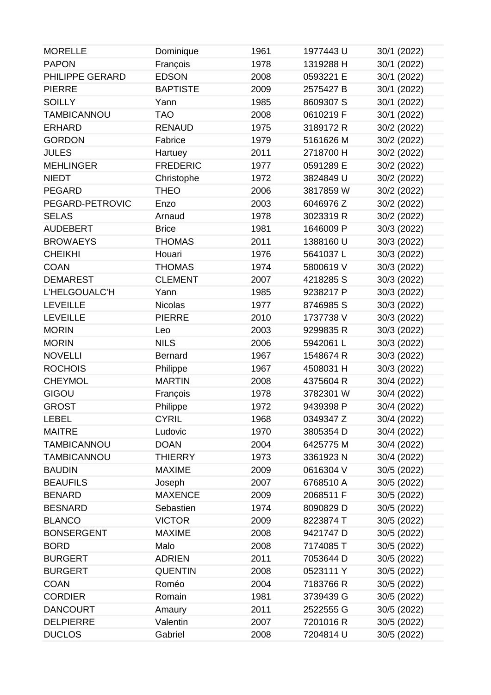| <b>MORELLE</b>     | Dominique       | 1961 | 1977443 U | 30/1 (2022) |
|--------------------|-----------------|------|-----------|-------------|
| <b>PAPON</b>       | François        | 1978 | 1319288 H | 30/1 (2022) |
| PHILIPPE GERARD    | <b>EDSON</b>    | 2008 | 0593221 E | 30/1 (2022) |
| <b>PIERRE</b>      | <b>BAPTISTE</b> | 2009 | 2575427 B | 30/1 (2022) |
| <b>SOILLY</b>      | Yann            | 1985 | 8609307 S | 30/1 (2022) |
| <b>TAMBICANNOU</b> | <b>TAO</b>      | 2008 | 0610219 F | 30/1 (2022) |
| <b>ERHARD</b>      | <b>RENAUD</b>   | 1975 | 3189172R  | 30/2 (2022) |
| <b>GORDON</b>      | Fabrice         | 1979 | 5161626 M | 30/2 (2022) |
| <b>JULES</b>       | Hartuey         | 2011 | 2718700 H | 30/2 (2022) |
| <b>MEHLINGER</b>   | <b>FREDERIC</b> | 1977 | 0591289 E | 30/2 (2022) |
| <b>NIEDT</b>       | Christophe      | 1972 | 3824849 U | 30/2 (2022) |
| <b>PEGARD</b>      | <b>THEO</b>     | 2006 | 3817859 W | 30/2 (2022) |
| PEGARD-PETROVIC    | Enzo            | 2003 | 6046976 Z | 30/2 (2022) |
| <b>SELAS</b>       | Arnaud          | 1978 | 3023319 R | 30/2 (2022) |
| <b>AUDEBERT</b>    | <b>Brice</b>    | 1981 | 1646009 P | 30/3 (2022) |
| <b>BROWAEYS</b>    | <b>THOMAS</b>   | 2011 | 1388160 U | 30/3 (2022) |
| <b>CHEIKHI</b>     | Houari          | 1976 | 5641037L  | 30/3 (2022) |
| <b>COAN</b>        | <b>THOMAS</b>   | 1974 | 5800619 V | 30/3 (2022) |
| <b>DEMAREST</b>    | <b>CLEMENT</b>  | 2007 | 4218285 S | 30/3 (2022) |
| L'HELGOUALC'H      | Yann            | 1985 | 9238217 P | 30/3 (2022) |
| <b>LEVEILLE</b>    | <b>Nicolas</b>  | 1977 | 8746985 S | 30/3 (2022) |
| <b>LEVEILLE</b>    | <b>PIERRE</b>   | 2010 | 1737738 V | 30/3 (2022) |
| <b>MORIN</b>       | Leo             | 2003 | 9299835 R | 30/3 (2022) |
| <b>MORIN</b>       | <b>NILS</b>     | 2006 | 5942061L  | 30/3 (2022) |
| <b>NOVELLI</b>     | <b>Bernard</b>  | 1967 | 1548674 R | 30/3 (2022) |
| <b>ROCHOIS</b>     | Philippe        | 1967 | 4508031 H | 30/3 (2022) |
| <b>CHEYMOL</b>     | <b>MARTIN</b>   | 2008 | 4375604 R | 30/4 (2022) |
| GIGOU              | François        | 1978 | 3782301 W | 30/4 (2022) |
| <b>GROST</b>       | Philippe        | 1972 | 9439398 P | 30/4 (2022) |
| <b>LEBEL</b>       | <b>CYRIL</b>    | 1968 | 0349347 Z | 30/4 (2022) |
| <b>MAITRE</b>      | Ludovic         | 1970 | 3805354 D | 30/4 (2022) |
| <b>TAMBICANNOU</b> | <b>DOAN</b>     | 2004 | 6425775 M | 30/4 (2022) |
| <b>TAMBICANNOU</b> | <b>THIERRY</b>  | 1973 | 3361923N  | 30/4 (2022) |
| <b>BAUDIN</b>      | <b>MAXIME</b>   | 2009 | 0616304 V | 30/5 (2022) |
| <b>BEAUFILS</b>    | Joseph          | 2007 | 6768510 A | 30/5 (2022) |
| <b>BENARD</b>      | <b>MAXENCE</b>  | 2009 | 2068511 F | 30/5 (2022) |
| <b>BESNARD</b>     | Sebastien       | 1974 | 8090829 D | 30/5 (2022) |
| <b>BLANCO</b>      | <b>VICTOR</b>   | 2009 | 8223874 T | 30/5 (2022) |
| <b>BONSERGENT</b>  | <b>MAXIME</b>   | 2008 | 9421747 D | 30/5 (2022) |
| <b>BORD</b>        | Malo            | 2008 | 7174085 T | 30/5 (2022) |
| <b>BURGERT</b>     | <b>ADRIEN</b>   | 2011 | 7053644 D | 30/5 (2022) |
| <b>BURGERT</b>     | <b>QUENTIN</b>  | 2008 | 0523111 Y | 30/5 (2022) |
| <b>COAN</b>        | Roméo           | 2004 | 7183766 R | 30/5 (2022) |
| <b>CORDIER</b>     | Romain          | 1981 | 3739439 G | 30/5 (2022) |
| <b>DANCOURT</b>    | Amaury          | 2011 | 2522555 G | 30/5 (2022) |
| <b>DELPIERRE</b>   | Valentin        | 2007 | 7201016R  | 30/5 (2022) |
| <b>DUCLOS</b>      | Gabriel         | 2008 | 7204814 U | 30/5 (2022) |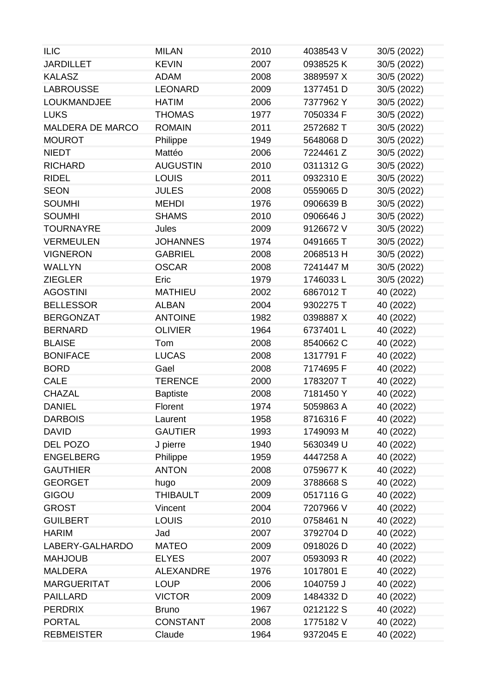| <b>ILIC</b>             | <b>MILAN</b>     | 2010 | 4038543 V | 30/5 (2022) |
|-------------------------|------------------|------|-----------|-------------|
| <b>JARDILLET</b>        | <b>KEVIN</b>     | 2007 | 0938525K  | 30/5 (2022) |
| <b>KALASZ</b>           | <b>ADAM</b>      | 2008 | 3889597 X | 30/5 (2022) |
| <b>LABROUSSE</b>        | <b>LEONARD</b>   | 2009 | 1377451 D | 30/5 (2022) |
| <b>LOUKMANDJEE</b>      | <b>HATIM</b>     | 2006 | 7377962 Y | 30/5 (2022) |
| <b>LUKS</b>             | <b>THOMAS</b>    | 1977 | 7050334 F | 30/5 (2022) |
| <b>MALDERA DE MARCO</b> | <b>ROMAIN</b>    | 2011 | 2572682 T | 30/5 (2022) |
| <b>MOUROT</b>           | Philippe         | 1949 | 5648068 D | 30/5 (2022) |
| <b>NIEDT</b>            | Mattéo           | 2006 | 7224461 Z | 30/5 (2022) |
| <b>RICHARD</b>          | <b>AUGUSTIN</b>  | 2010 | 0311312 G | 30/5 (2022) |
| <b>RIDEL</b>            | <b>LOUIS</b>     | 2011 | 0932310 E | 30/5 (2022) |
| <b>SEON</b>             | <b>JULES</b>     | 2008 | 0559065 D | 30/5 (2022) |
| <b>SOUMHI</b>           | <b>MEHDI</b>     | 1976 | 0906639 B | 30/5 (2022) |
| <b>SOUMHI</b>           | <b>SHAMS</b>     | 2010 | 0906646 J | 30/5 (2022) |
| <b>TOURNAYRE</b>        | Jules            | 2009 | 9126672 V | 30/5 (2022) |
| <b>VERMEULEN</b>        | <b>JOHANNES</b>  | 1974 | 0491665 T | 30/5 (2022) |
| <b>VIGNERON</b>         | <b>GABRIEL</b>   | 2008 | 2068513 H | 30/5 (2022) |
| <b>WALLYN</b>           | <b>OSCAR</b>     | 2008 | 7241447 M | 30/5 (2022) |
| <b>ZIEGLER</b>          | Eric             | 1979 | 1746033L  | 30/5 (2022) |
| <b>AGOSTINI</b>         | <b>MATHIEU</b>   | 2002 | 6867012 T | 40 (2022)   |
| <b>BELLESSOR</b>        | <b>ALBAN</b>     | 2004 | 9302275 T | 40 (2022)   |
| <b>BERGONZAT</b>        | <b>ANTOINE</b>   | 1982 | 0398887X  | 40 (2022)   |
| <b>BERNARD</b>          | <b>OLIVIER</b>   | 1964 | 6737401L  | 40 (2022)   |
| <b>BLAISE</b>           | Tom              | 2008 | 8540662 C | 40 (2022)   |
| <b>BONIFACE</b>         | <b>LUCAS</b>     | 2008 | 1317791 F | 40 (2022)   |
| <b>BORD</b>             | Gael             | 2008 | 7174695F  | 40 (2022)   |
| <b>CALE</b>             | <b>TERENCE</b>   | 2000 | 1783207 T | 40 (2022)   |
| <b>CHAZAL</b>           | <b>Baptiste</b>  | 2008 | 7181450Y  | 40 (2022)   |
| <b>DANIEL</b>           | Florent          | 1974 | 5059863 A | 40 (2022)   |
| <b>DARBOIS</b>          | Laurent          | 1958 | 8716316 F | 40 (2022)   |
| <b>DAVID</b>            | <b>GAUTIER</b>   | 1993 | 1749093 M | 40 (2022)   |
| DEL POZO                | J pierre         | 1940 | 5630349 U | 40 (2022)   |
| <b>ENGELBERG</b>        | Philippe         | 1959 | 4447258 A | 40 (2022)   |
| <b>GAUTHIER</b>         | <b>ANTON</b>     | 2008 | 0759677K  | 40 (2022)   |
| <b>GEORGET</b>          | hugo             | 2009 | 3788668 S | 40 (2022)   |
| GIGOU                   | <b>THIBAULT</b>  | 2009 | 0517116 G | 40 (2022)   |
| <b>GROST</b>            | Vincent          | 2004 | 7207966 V | 40 (2022)   |
| <b>GUILBERT</b>         | <b>LOUIS</b>     | 2010 | 0758461N  | 40 (2022)   |
| <b>HARIM</b>            | Jad              | 2007 | 3792704 D | 40 (2022)   |
| LABERY-GALHARDO         | <b>MATEO</b>     | 2009 | 0918026 D | 40 (2022)   |
| <b>MAHJOUB</b>          | <b>ELYES</b>     | 2007 | 0593093 R | 40 (2022)   |
| <b>MALDERA</b>          | <b>ALEXANDRE</b> | 1976 | 1017801 E | 40 (2022)   |
| <b>MARGUERITAT</b>      | <b>LOUP</b>      | 2006 | 1040759 J | 40 (2022)   |
| <b>PAILLARD</b>         | <b>VICTOR</b>    | 2009 | 1484332 D | 40 (2022)   |
| <b>PERDRIX</b>          | <b>Bruno</b>     | 1967 | 0212122 S | 40 (2022)   |
| <b>PORTAL</b>           | <b>CONSTANT</b>  | 2008 | 1775182 V | 40 (2022)   |
| <b>REBMEISTER</b>       | Claude           | 1964 | 9372045 E | 40 (2022)   |